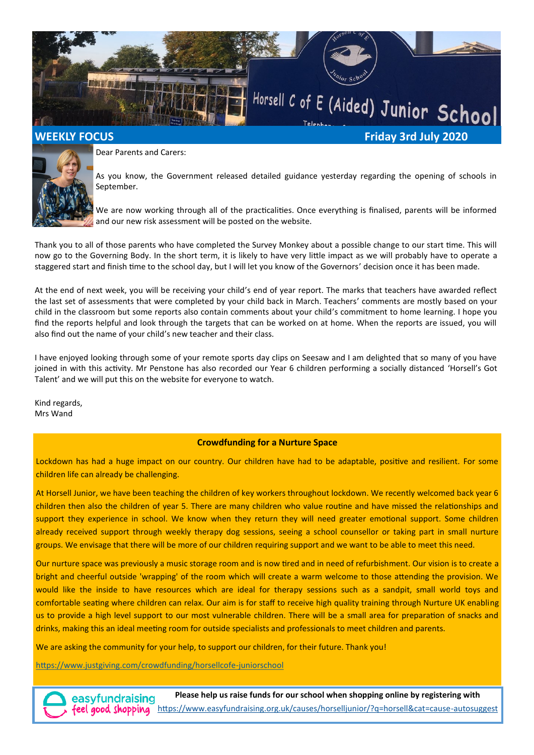



Dear Parents and Carers:

As you know, the Government released detailed guidance yesterday regarding the opening of schools in September.

We are now working through all of the practicalities. Once everything is finalised, parents will be informed and our new risk assessment will be posted on the website.

Thank you to all of those parents who have completed the Survey Monkey about a possible change to our start time. This will now go to the Governing Body. In the short term, it is likely to have very little impact as we will probably have to operate a staggered start and finish time to the school day, but I will let you know of the Governors' decision once it has been made.

At the end of next week, you will be receiving your child's end of year report. The marks that teachers have awarded reflect the last set of assessments that were completed by your child back in March. Teachers' comments are mostly based on your child in the classroom but some reports also contain comments about your child's commitment to home learning. I hope you find the reports helpful and look through the targets that can be worked on at home. When the reports are issued, you will also find out the name of your child's new teacher and their class.

I have enjoyed looking through some of your remote sports day clips on Seesaw and I am delighted that so many of you have joined in with this activity. Mr Penstone has also recorded our Year 6 children performing a socially distanced 'Horsell's Got Talent' and we will put this on the website for everyone to watch.

Kind regards, Mrs Wand

## **Crowdfunding for a Nurture Space**

Lockdown has had a huge impact on our country. Our children have had to be adaptable, positive and resilient. For some children life can already be challenging.

At Horsell Junior, we have been teaching the children of key workers throughout lockdown. We recently welcomed back year 6 children then also the children of year 5. There are many children who value routine and have missed the relationships and support they experience in school. We know when they return they will need greater emotional support. Some children already received support through weekly therapy dog sessions, seeing a school counsellor or taking part in small nurture groups. We envisage that there will be more of our children requiring support and we want to be able to meet this need.

Our nurture space was previously a music storage room and is now tired and in need of refurbishment. Our vision is to create a bright and cheerful outside 'wrapping' of the room which will create a warm welcome to those attending the provision. We would like the inside to have resources which are ideal for therapy sessions such as a sandpit, small world toys and comfortable seating where children can relax. Our aim is for staff to receive high quality training through Nurture UK enabling us to provide a high level support to our most vulnerable children. There will be a small area for preparation of snacks and drinks, making this an ideal meeting room for outside specialists and professionals to meet children and parents.

We are asking the community for your help, to support our children, for their future. Thank you!

[https://www.justgiving.com/crowdfunding/horsellcofe](https://www.justgiving.com/crowdfunding/horsellcofe-juniorschool)-juniorschool

**Please help us raise funds for our school when shopping online by registering with** easyfundraising feel good shopping [https://www.easyfundraising.org.uk/causes/horselljunior/?q=horsell&cat=cause](https://www.easyfundraising.org.uk/causes/horselljunior/?q=horsell&cat=cause-autosuggest)-autosuggest